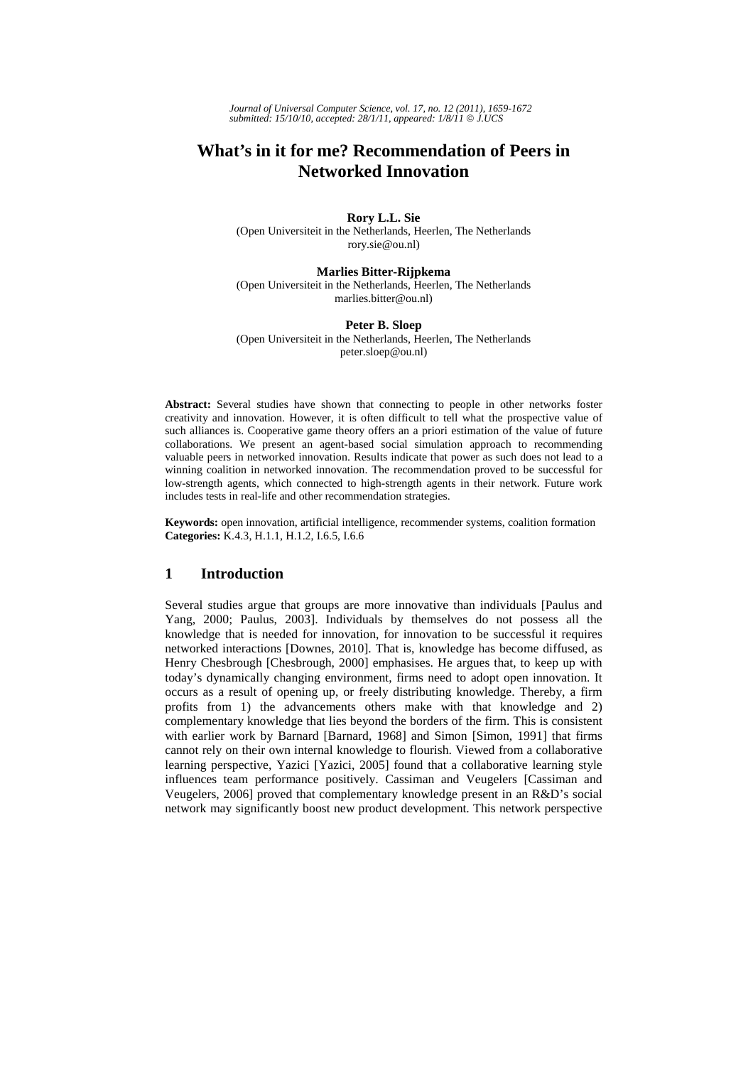*Journal of Universal Computer Science, vol. 17, no. 12 (2011), 1659-1672 submitted: 15/10/10, accepted: 28/1/11, appeared: 1/8/11* © *J.UCS*

# **What's in it for me? Recommendation of Peers in Networked Innovation**

**Rory L.L. Sie**  (Open Universiteit in the Netherlands, Heerlen, The Netherlands rory.sie@ou.nl)

#### **Marlies Bitter-Rijpkema**

(Open Universiteit in the Netherlands, Heerlen, The Netherlands marlies.bitter@ou.nl)

# **Peter B. Sloep**

(Open Universiteit in the Netherlands, Heerlen, The Netherlands peter.sloep@ou.nl)

**Abstract:** Several studies have shown that connecting to people in other networks foster creativity and innovation. However, it is often difficult to tell what the prospective value of such alliances is. Cooperative game theory offers an a priori estimation of the value of future collaborations. We present an agent-based social simulation approach to recommending valuable peers in networked innovation. Results indicate that power as such does not lead to a winning coalition in networked innovation. The recommendation proved to be successful for low-strength agents, which connected to high-strength agents in their network. Future work includes tests in real-life and other recommendation strategies.

**Keywords:** open innovation, artificial intelligence, recommender systems, coalition formation **Categories:** K.4.3, H.1.1, H.1.2, I.6.5, I.6.6

# **1 Introduction**

Several studies argue that groups are more innovative than individuals [Paulus and Yang, 2000; Paulus, 2003]. Individuals by themselves do not possess all the knowledge that is needed for innovation, for innovation to be successful it requires networked interactions [Downes, 2010]. That is, knowledge has become diffused, as Henry Chesbrough [Chesbrough, 2000] emphasises. He argues that, to keep up with today's dynamically changing environment, firms need to adopt open innovation. It occurs as a result of opening up, or freely distributing knowledge. Thereby, a firm profits from 1) the advancements others make with that knowledge and 2) complementary knowledge that lies beyond the borders of the firm. This is consistent with earlier work by Barnard [Barnard, 1968] and Simon [Simon, 1991] that firms cannot rely on their own internal knowledge to flourish. Viewed from a collaborative learning perspective, Yazici [Yazici, 2005] found that a collaborative learning style influences team performance positively. Cassiman and Veugelers [Cassiman and Veugelers, 2006] proved that complementary knowledge present in an R&D's social network may significantly boost new product development. This network perspective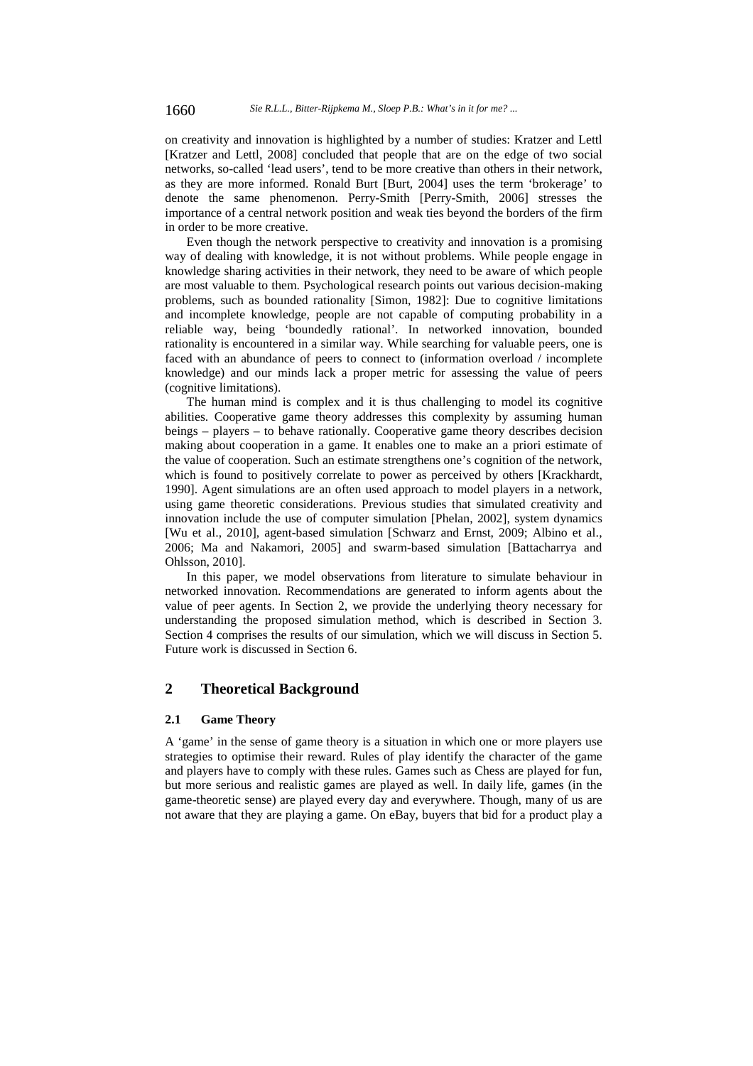on creativity and innovation is highlighted by a number of studies: Kratzer and Lettl [Kratzer and Lettl, 2008] concluded that people that are on the edge of two social networks, so-called 'lead users', tend to be more creative than others in their network, as they are more informed. Ronald Burt [Burt, 2004] uses the term 'brokerage' to denote the same phenomenon. Perry-Smith [Perry-Smith, 2006] stresses the importance of a central network position and weak ties beyond the borders of the firm in order to be more creative.

Even though the network perspective to creativity and innovation is a promising way of dealing with knowledge, it is not without problems. While people engage in knowledge sharing activities in their network, they need to be aware of which people are most valuable to them. Psychological research points out various decision-making problems, such as bounded rationality [Simon, 1982]: Due to cognitive limitations and incomplete knowledge, people are not capable of computing probability in a reliable way, being 'boundedly rational'. In networked innovation, bounded rationality is encountered in a similar way. While searching for valuable peers, one is faced with an abundance of peers to connect to (information overload / incomplete knowledge) and our minds lack a proper metric for assessing the value of peers (cognitive limitations).

The human mind is complex and it is thus challenging to model its cognitive abilities. Cooperative game theory addresses this complexity by assuming human beings – players – to behave rationally. Cooperative game theory describes decision making about cooperation in a game. It enables one to make an a priori estimate of the value of cooperation. Such an estimate strengthens one's cognition of the network, which is found to positively correlate to power as perceived by others [Krackhardt, 1990]. Agent simulations are an often used approach to model players in a network, using game theoretic considerations. Previous studies that simulated creativity and innovation include the use of computer simulation [Phelan, 2002], system dynamics [Wu et al., 2010], agent-based simulation [Schwarz and Ernst, 2009; Albino et al., 2006; Ma and Nakamori, 2005] and swarm-based simulation [Battacharrya and Ohlsson, 2010].

In this paper, we model observations from literature to simulate behaviour in networked innovation. Recommendations are generated to inform agents about the value of peer agents. In Section 2, we provide the underlying theory necessary for understanding the proposed simulation method, which is described in Section 3. Section 4 comprises the results of our simulation, which we will discuss in Section 5. Future work is discussed in Section 6.

# **2 Theoretical Background**

#### **2.1 Game Theory**

A 'game' in the sense of game theory is a situation in which one or more players use strategies to optimise their reward. Rules of play identify the character of the game and players have to comply with these rules. Games such as Chess are played for fun, but more serious and realistic games are played as well. In daily life, games (in the game-theoretic sense) are played every day and everywhere. Though, many of us are not aware that they are playing a game. On eBay, buyers that bid for a product play a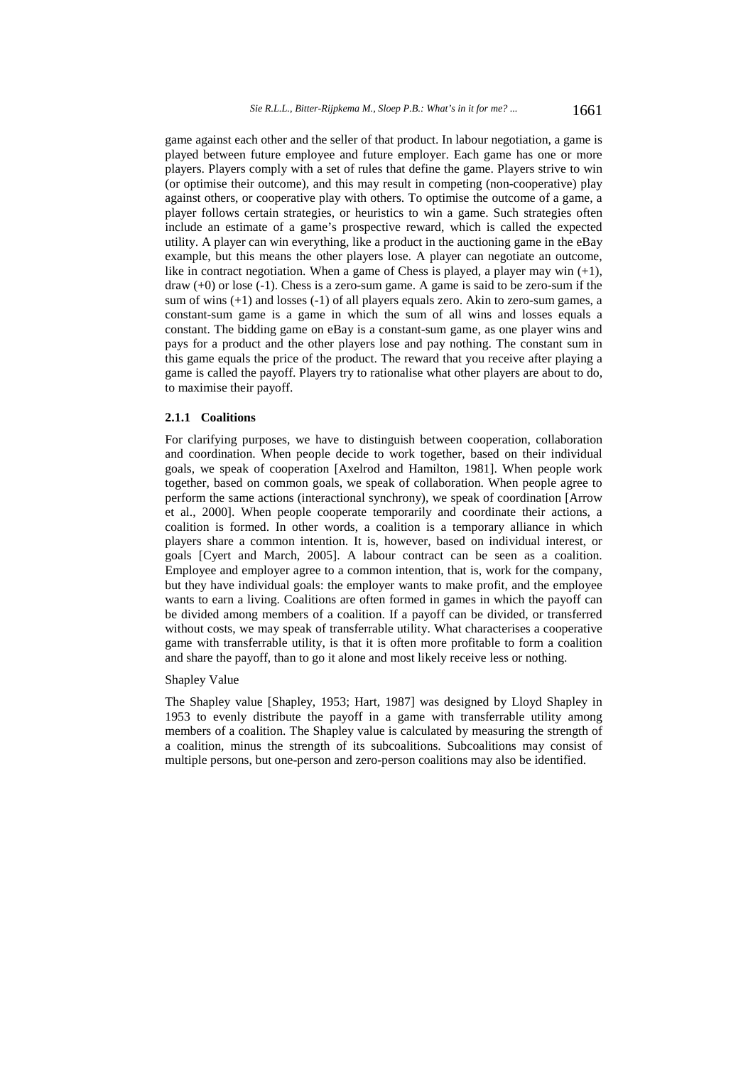game against each other and the seller of that product. In labour negotiation, a game is played between future employee and future employer. Each game has one or more players. Players comply with a set of rules that define the game. Players strive to win (or optimise their outcome), and this may result in competing (non-cooperative) play against others, or cooperative play with others. To optimise the outcome of a game, a player follows certain strategies, or heuristics to win a game. Such strategies often include an estimate of a game's prospective reward, which is called the expected utility. A player can win everything, like a product in the auctioning game in the eBay example, but this means the other players lose. A player can negotiate an outcome, like in contract negotiation. When a game of Chess is played, a player may win  $(+1)$ ,  $d$ raw  $(+0)$  or lose  $(-1)$ . Chess is a zero-sum game. A game is said to be zero-sum if the sum of wins (+1) and losses (-1) of all players equals zero. Akin to zero-sum games, a constant-sum game is a game in which the sum of all wins and losses equals a constant. The bidding game on eBay is a constant-sum game, as one player wins and pays for a product and the other players lose and pay nothing. The constant sum in this game equals the price of the product. The reward that you receive after playing a game is called the payoff. Players try to rationalise what other players are about to do, to maximise their payoff.

## **2.1.1 Coalitions**

For clarifying purposes, we have to distinguish between cooperation, collaboration and coordination. When people decide to work together, based on their individual goals, we speak of cooperation [Axelrod and Hamilton, 1981]. When people work together, based on common goals, we speak of collaboration. When people agree to perform the same actions (interactional synchrony), we speak of coordination [Arrow et al., 2000]. When people cooperate temporarily and coordinate their actions, a coalition is formed. In other words, a coalition is a temporary alliance in which players share a common intention. It is, however, based on individual interest, or goals [Cyert and March, 2005]. A labour contract can be seen as a coalition. Employee and employer agree to a common intention, that is, work for the company, but they have individual goals: the employer wants to make profit, and the employee wants to earn a living. Coalitions are often formed in games in which the payoff can be divided among members of a coalition. If a payoff can be divided, or transferred without costs, we may speak of transferrable utility. What characterises a cooperative game with transferrable utility, is that it is often more profitable to form a coalition and share the payoff, than to go it alone and most likely receive less or nothing.

# Shapley Value

The Shapley value [Shapley, 1953; Hart, 1987] was designed by Lloyd Shapley in 1953 to evenly distribute the payoff in a game with transferrable utility among members of a coalition. The Shapley value is calculated by measuring the strength of a coalition, minus the strength of its subcoalitions. Subcoalitions may consist of multiple persons, but one-person and zero-person coalitions may also be identified.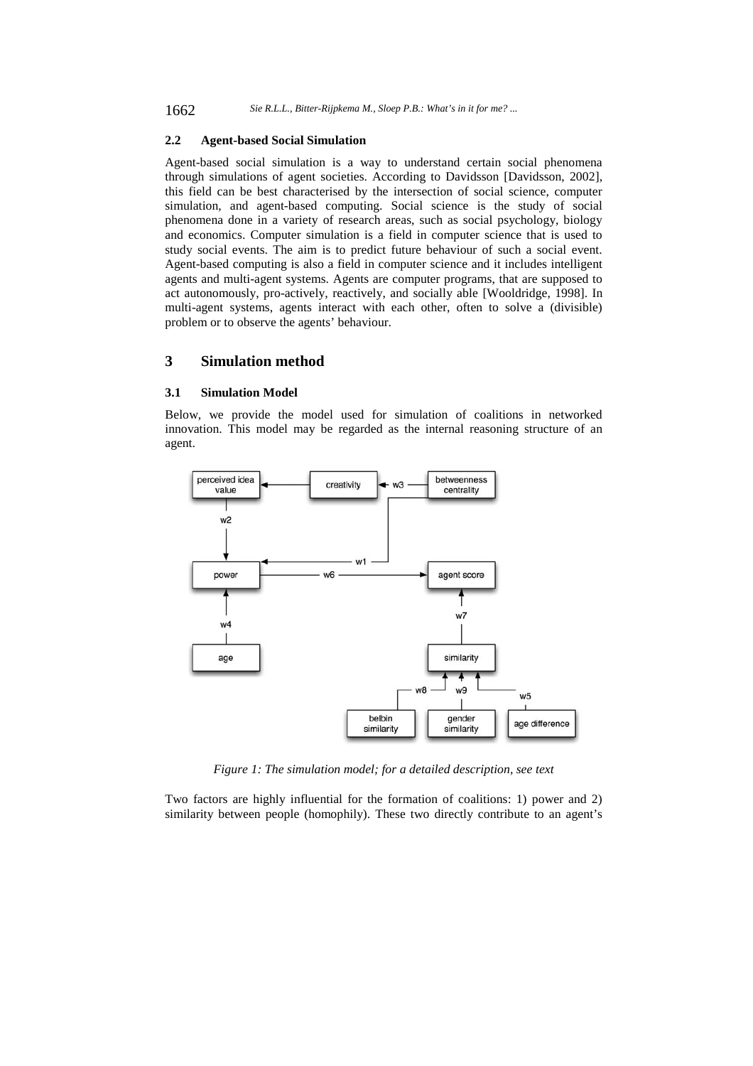## **2.2 Agent-based Social Simulation**

Agent-based social simulation is a way to understand certain social phenomena through simulations of agent societies. According to Davidsson [Davidsson, 2002], this field can be best characterised by the intersection of social science, computer simulation, and agent-based computing. Social science is the study of social phenomena done in a variety of research areas, such as social psychology, biology and economics. Computer simulation is a field in computer science that is used to study social events. The aim is to predict future behaviour of such a social event. Agent-based computing is also a field in computer science and it includes intelligent agents and multi-agent systems. Agents are computer programs, that are supposed to act autonomously, pro-actively, reactively, and socially able [Wooldridge, 1998]. In multi-agent systems, agents interact with each other, often to solve a (divisible) problem or to observe the agents' behaviour.

# **3 Simulation method**

#### **3.1 Simulation Model**

Below, we provide the model used for simulation of coalitions in networked innovation. This model may be regarded as the internal reasoning structure of an agent.



*Figure 1: The simulation model; for a detailed description, see text* 

Two factors are highly influential for the formation of coalitions: 1) power and 2) similarity between people (homophily). These two directly contribute to an agent's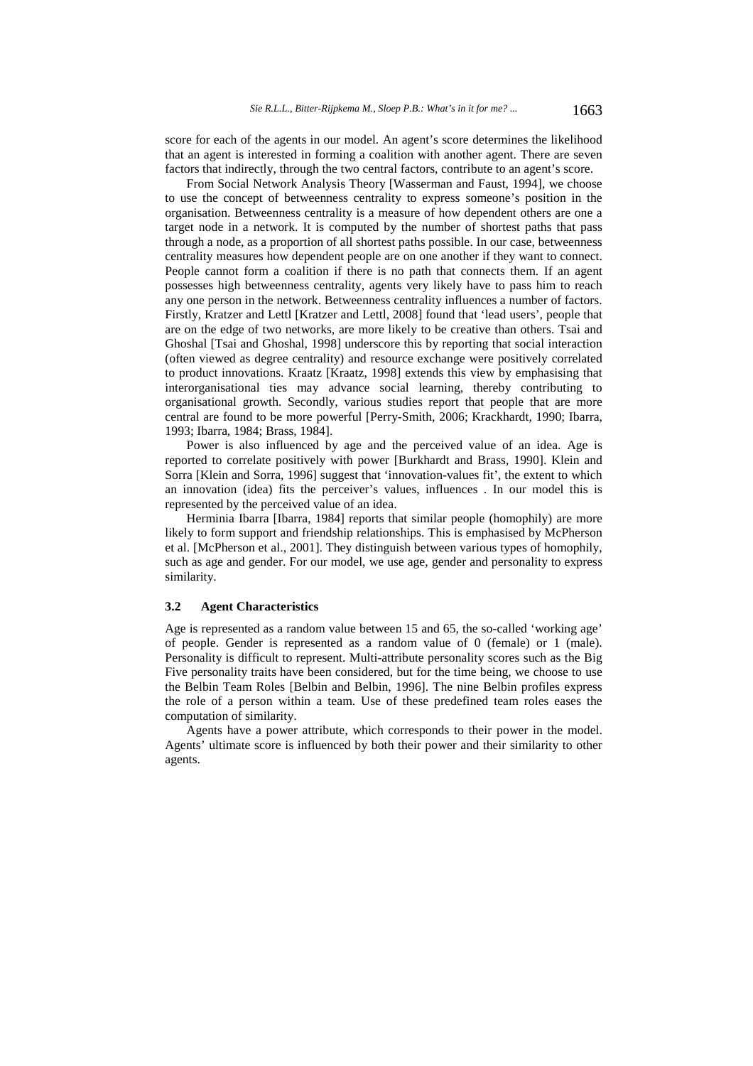score for each of the agents in our model. An agent's score determines the likelihood that an agent is interested in forming a coalition with another agent. There are seven factors that indirectly, through the two central factors, contribute to an agent's score.

From Social Network Analysis Theory [Wasserman and Faust, 1994], we choose to use the concept of betweenness centrality to express someone's position in the organisation. Betweenness centrality is a measure of how dependent others are one a target node in a network. It is computed by the number of shortest paths that pass through a node, as a proportion of all shortest paths possible. In our case, betweenness centrality measures how dependent people are on one another if they want to connect. People cannot form a coalition if there is no path that connects them. If an agent possesses high betweenness centrality, agents very likely have to pass him to reach any one person in the network. Betweenness centrality influences a number of factors. Firstly, Kratzer and Lettl [Kratzer and Lettl, 2008] found that 'lead users', people that are on the edge of two networks, are more likely to be creative than others. Tsai and Ghoshal [Tsai and Ghoshal, 1998] underscore this by reporting that social interaction (often viewed as degree centrality) and resource exchange were positively correlated to product innovations. Kraatz [Kraatz, 1998] extends this view by emphasising that interorganisational ties may advance social learning, thereby contributing to organisational growth. Secondly, various studies report that people that are more central are found to be more powerful [Perry-Smith, 2006; Krackhardt, 1990; Ibarra, 1993; Ibarra, 1984; Brass, 1984].

Power is also influenced by age and the perceived value of an idea. Age is reported to correlate positively with power [Burkhardt and Brass, 1990]. Klein and Sorra [Klein and Sorra, 1996] suggest that 'innovation-values fit', the extent to which an innovation (idea) fits the perceiver's values, influences . In our model this is represented by the perceived value of an idea.

Herminia Ibarra [Ibarra, 1984] reports that similar people (homophily) are more likely to form support and friendship relationships. This is emphasised by McPherson et al. [McPherson et al., 2001]. They distinguish between various types of homophily, such as age and gender. For our model, we use age, gender and personality to express similarity.

#### **3.2 Agent Characteristics**

Age is represented as a random value between 15 and 65, the so-called 'working age' of people. Gender is represented as a random value of 0 (female) or 1 (male). Personality is difficult to represent. Multi-attribute personality scores such as the Big Five personality traits have been considered, but for the time being, we choose to use the Belbin Team Roles [Belbin and Belbin, 1996]. The nine Belbin profiles express the role of a person within a team. Use of these predefined team roles eases the computation of similarity.

Agents have a power attribute, which corresponds to their power in the model. Agents' ultimate score is influenced by both their power and their similarity to other agents.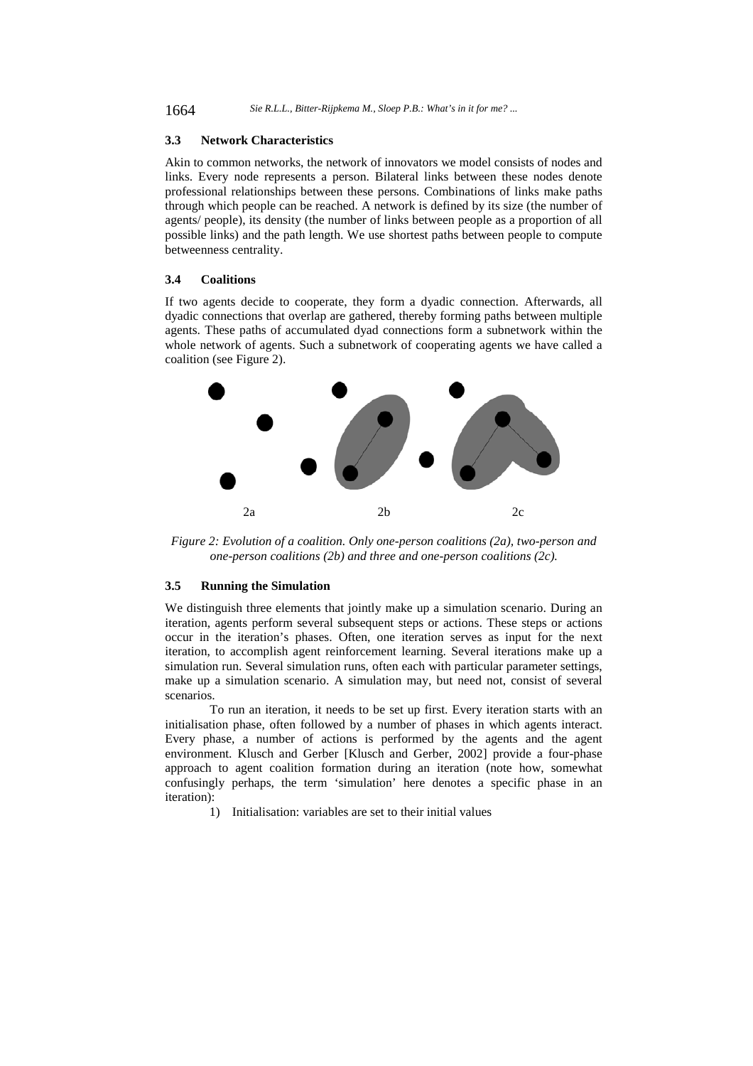## **3.3 Network Characteristics**

Akin to common networks, the network of innovators we model consists of nodes and links. Every node represents a person. Bilateral links between these nodes denote professional relationships between these persons. Combinations of links make paths through which people can be reached. A network is defined by its size (the number of agents/ people), its density (the number of links between people as a proportion of all possible links) and the path length. We use shortest paths between people to compute betweenness centrality.

#### **3.4 Coalitions**

If two agents decide to cooperate, they form a dyadic connection. Afterwards, all dyadic connections that overlap are gathered, thereby forming paths between multiple agents. These paths of accumulated dyad connections form a subnetwork within the whole network of agents. Such a subnetwork of cooperating agents we have called a coalition (see Figure 2).



*Figure 2: Evolution of a coalition. Only one-person coalitions (2a), two-person and one-person coalitions (2b) and three and one-person coalitions (2c).* 

#### **3.5 Running the Simulation**

We distinguish three elements that jointly make up a simulation scenario. During an iteration, agents perform several subsequent steps or actions. These steps or actions occur in the iteration's phases. Often, one iteration serves as input for the next iteration, to accomplish agent reinforcement learning. Several iterations make up a simulation run. Several simulation runs, often each with particular parameter settings, make up a simulation scenario. A simulation may, but need not, consist of several scenarios.

 To run an iteration, it needs to be set up first. Every iteration starts with an initialisation phase, often followed by a number of phases in which agents interact. Every phase, a number of actions is performed by the agents and the agent environment. Klusch and Gerber [Klusch and Gerber, 2002] provide a four-phase approach to agent coalition formation during an iteration (note how, somewhat confusingly perhaps, the term 'simulation' here denotes a specific phase in an iteration):

1) Initialisation: variables are set to their initial values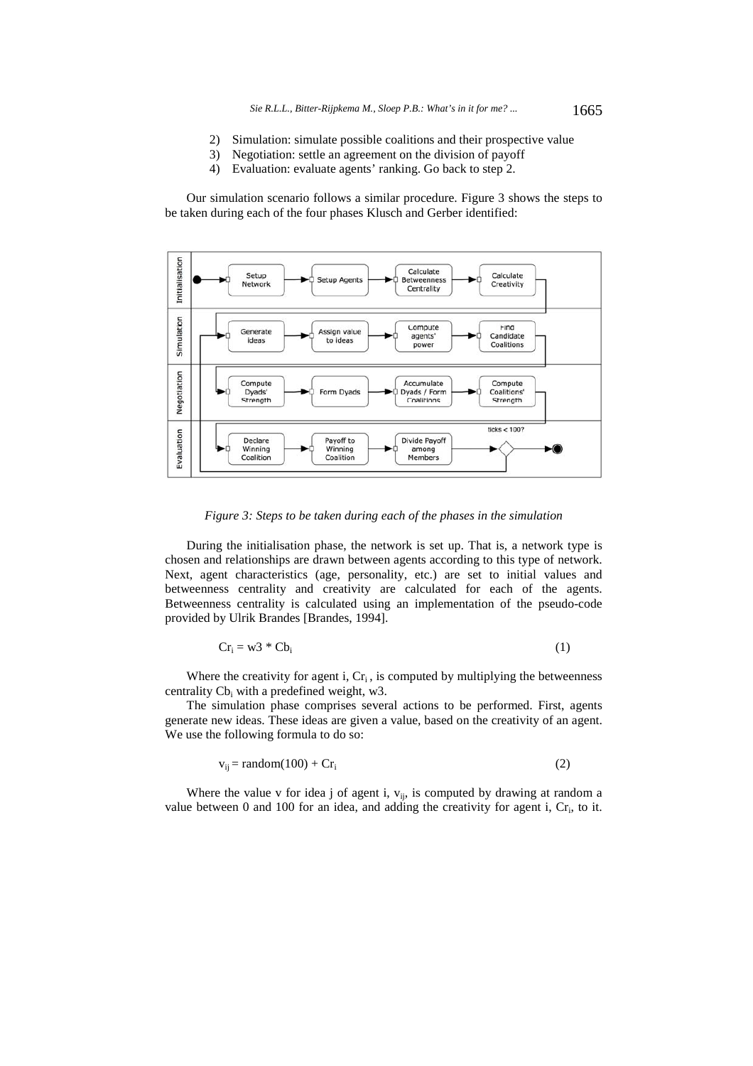- 2) Simulation: simulate possible coalitions and their prospective value
- 3) Negotiation: settle an agreement on the division of payoff
- 4) Evaluation: evaluate agents' ranking. Go back to step 2.

Our simulation scenario follows a similar procedure. Figure 3 shows the steps to be taken during each of the four phases Klusch and Gerber identified:



*Figure 3: Steps to be taken during each of the phases in the simulation* 

During the initialisation phase, the network is set up. That is, a network type is chosen and relationships are drawn between agents according to this type of network. Next, agent characteristics (age, personality, etc.) are set to initial values and betweenness centrality and creativity are calculated for each of the agents. Betweenness centrality is calculated using an implementation of the pseudo-code provided by Ulrik Brandes [Brandes, 1994].

$$
Cr_i = w3 * Cb_i \tag{1}
$$

Where the creativity for agent i,  $Cr_i$ , is computed by multiplying the betweenness centrality  $Cb_i$  with a predefined weight, w3.

The simulation phase comprises several actions to be performed. First, agents generate new ideas. These ideas are given a value, based on the creativity of an agent. We use the following formula to do so:

$$
v_{ij} = random(100) + Cr_i
$$
 (2)

Where the value v for idea j of agent i,  $v_{ij}$ , is computed by drawing at random a value between  $0$  and  $100$  for an idea, and adding the creativity for agent i,  $Cr_i$ , to it.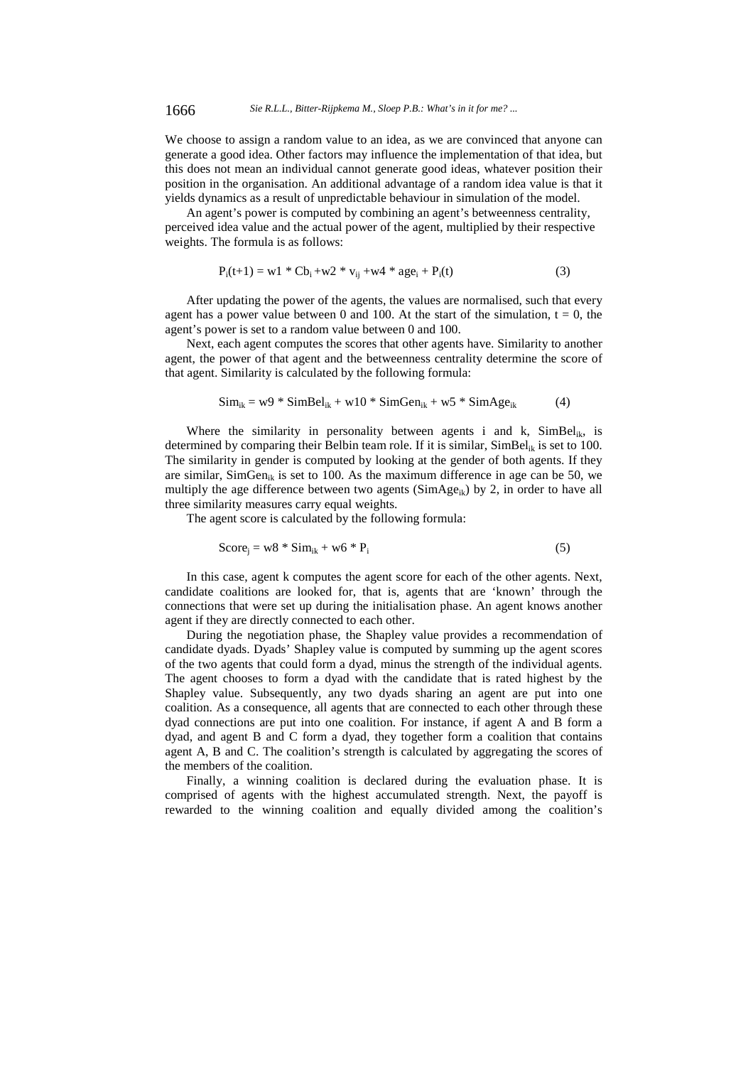1666 *Sie R.L.L., Bitter-Rijpkema M., Sloep P.B.: What's in it for me? ...*

We choose to assign a random value to an idea, as we are convinced that anyone can generate a good idea. Other factors may influence the implementation of that idea, but this does not mean an individual cannot generate good ideas, whatever position their position in the organisation. An additional advantage of a random idea value is that it yields dynamics as a result of unpredictable behaviour in simulation of the model.

An agent's power is computed by combining an agent's betweenness centrality, perceived idea value and the actual power of the agent, multiplied by their respective weights. The formula is as follows:

$$
P_i(t+1) = w1 * Cb_i + w2 * v_{ij} + w4 * age_i + P_i(t)
$$
\n(3)

After updating the power of the agents, the values are normalised, such that every agent has a power value between 0 and 100. At the start of the simulation,  $t = 0$ , the agent's power is set to a random value between 0 and 100.

Next, each agent computes the scores that other agents have. Similarity to another agent, the power of that agent and the betweenness centrality determine the score of that agent. Similarity is calculated by the following formula:

$$
Sim_{ik} = w9 * SimBel_{ik} + w10 * SimGen_{ik} + w5 * SimAge_{ik}
$$
 (4)

Where the similarity in personality between agents i and k,  $SimBel_{ik}$ , is determined by comparing their Belbin team role. If it is similar,  $Simple_{ik}$  is set to 100. The similarity in gender is computed by looking at the gender of both agents. If they are similar, SimGen<sub>ik</sub> is set to 100. As the maximum difference in age can be 50, we multiply the age difference between two agents ( $SimAge_{ik}$ ) by 2, in order to have all three similarity measures carry equal weights.

The agent score is calculated by the following formula:

$$
Score_j = w8 * Sim_{ik} + w6 * P_i
$$
 (5)

In this case, agent k computes the agent score for each of the other agents. Next, candidate coalitions are looked for, that is, agents that are 'known' through the connections that were set up during the initialisation phase. An agent knows another agent if they are directly connected to each other.

During the negotiation phase, the Shapley value provides a recommendation of candidate dyads. Dyads' Shapley value is computed by summing up the agent scores of the two agents that could form a dyad, minus the strength of the individual agents. The agent chooses to form a dyad with the candidate that is rated highest by the Shapley value. Subsequently, any two dyads sharing an agent are put into one coalition. As a consequence, all agents that are connected to each other through these dyad connections are put into one coalition. For instance, if agent A and B form a dyad, and agent B and C form a dyad, they together form a coalition that contains agent A, B and C. The coalition's strength is calculated by aggregating the scores of the members of the coalition.

Finally, a winning coalition is declared during the evaluation phase. It is comprised of agents with the highest accumulated strength. Next, the payoff is rewarded to the winning coalition and equally divided among the coalition's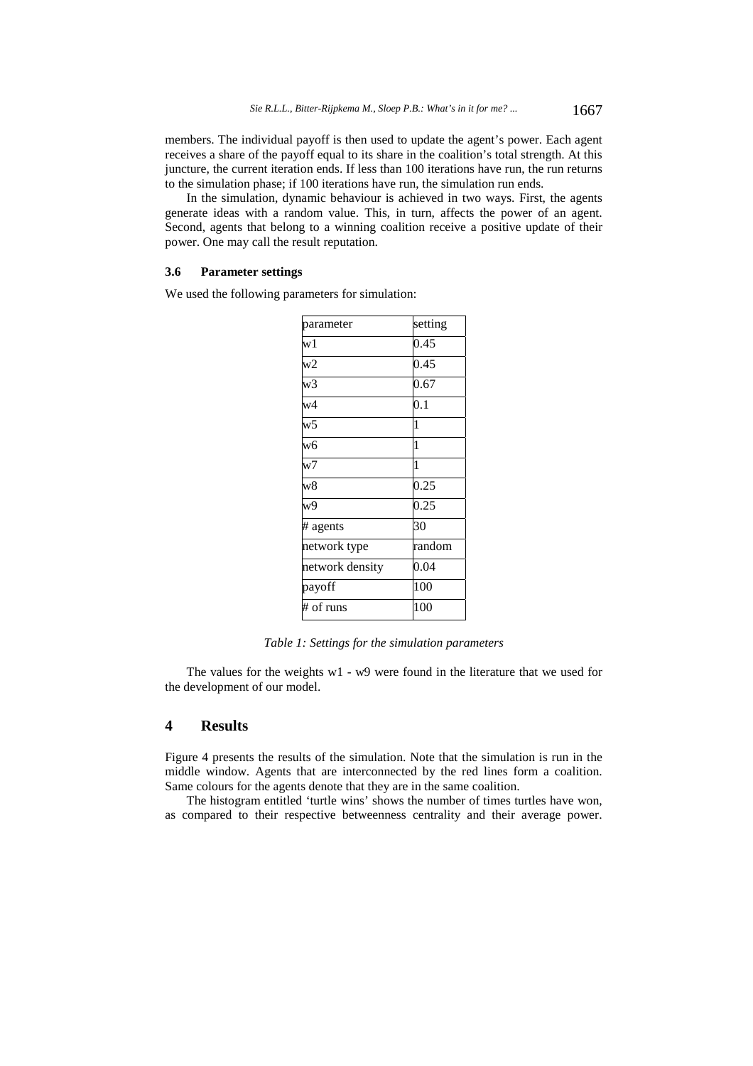members. The individual payoff is then used to update the agent's power. Each agent receives a share of the payoff equal to its share in the coalition's total strength. At this juncture, the current iteration ends. If less than 100 iterations have run, the run returns to the simulation phase; if 100 iterations have run, the simulation run ends.

In the simulation, dynamic behaviour is achieved in two ways. First, the agents generate ideas with a random value. This, in turn, affects the power of an agent. Second, agents that belong to a winning coalition receive a positive update of their power. One may call the result reputation.

### **3.6 Parameter settings**

We used the following parameters for simulation:

| parameter       | setting      |
|-----------------|--------------|
| w1              | 0.45         |
| W <sub>2</sub>  | 0.45         |
| w3              | 0.67         |
| w4              | 0.1          |
| W <sub>5</sub>  | 1            |
| $\overline{w6}$ | 1            |
| $\overline{w7}$ | $\mathbf{1}$ |
| $\overline{w8}$ | 0.25         |
| w9              | 0.25         |
| # agents        | 30           |
| network type    | random       |
| network density | 0.04         |
| payoff          | 100          |
| # of runs       | 100          |

*Table 1: Settings for the simulation parameters* 

The values for the weights w1 - w9 were found in the literature that we used for the development of our model.

# **4 Results**

Figure 4 presents the results of the simulation. Note that the simulation is run in the middle window. Agents that are interconnected by the red lines form a coalition. Same colours for the agents denote that they are in the same coalition.

The histogram entitled 'turtle wins' shows the number of times turtles have won, as compared to their respective betweenness centrality and their average power.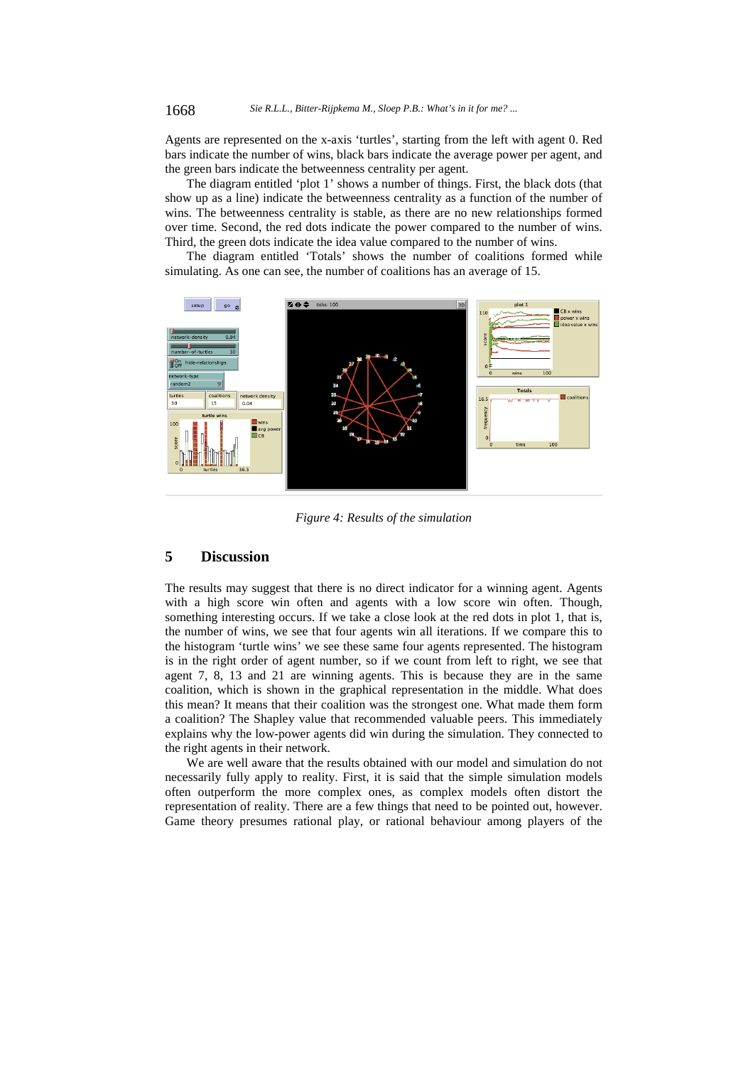Agents are represented on the x-axis 'turtles', starting from the left with agent 0. Red bars indicate the number of wins, black bars indicate the average power per agent, and the green bars indicate the betweenness centrality per agent.

The diagram entitled 'plot 1' shows a number of things. First, the black dots (that show up as a line) indicate the betweenness centrality as a function of the number of wins. The betweenness centrality is stable, as there are no new relationships formed over time. Second, the red dots indicate the power compared to the number of wins. Third, the green dots indicate the idea value compared to the number of wins.

The diagram entitled 'Totals' shows the number of coalitions formed while simulating. As one can see, the number of coalitions has an average of 15.



*Figure 4: Results of the simulation* 

# **5 Discussion**

The results may suggest that there is no direct indicator for a winning agent. Agents with a high score win often and agents with a low score win often. Though, something interesting occurs. If we take a close look at the red dots in plot 1, that is, the number of wins, we see that four agents win all iterations. If we compare this to the histogram 'turtle wins' we see these same four agents represented. The histogram is in the right order of agent number, so if we count from left to right, we see that agent 7, 8, 13 and 21 are winning agents. This is because they are in the same coalition, which is shown in the graphical representation in the middle. What does this mean? It means that their coalition was the strongest one. What made them form a coalition? The Shapley value that recommended valuable peers. This immediately explains why the low-power agents did win during the simulation. They connected to the right agents in their network.

We are well aware that the results obtained with our model and simulation do not necessarily fully apply to reality. First, it is said that the simple simulation models often outperform the more complex ones, as complex models often distort the representation of reality. There are a few things that need to be pointed out, however. Game theory presumes rational play, or rational behaviour among players of the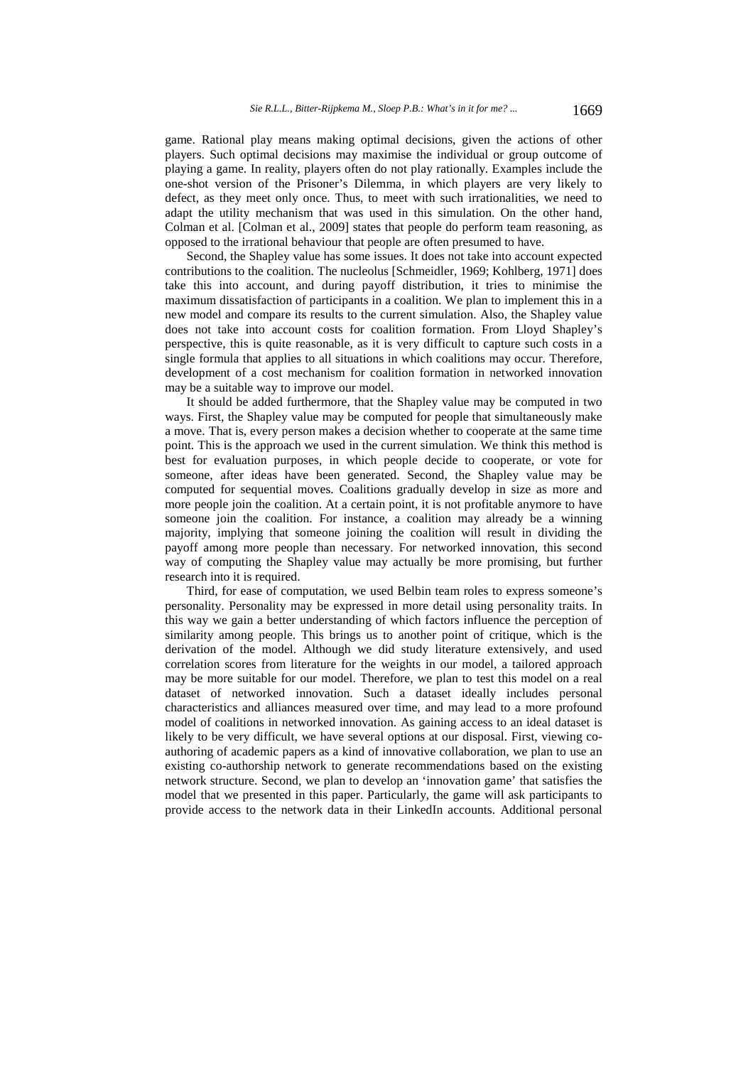game. Rational play means making optimal decisions, given the actions of other players. Such optimal decisions may maximise the individual or group outcome of playing a game. In reality, players often do not play rationally. Examples include the one-shot version of the Prisoner's Dilemma, in which players are very likely to defect, as they meet only once. Thus, to meet with such irrationalities, we need to adapt the utility mechanism that was used in this simulation. On the other hand, Colman et al. [Colman et al., 2009] states that people do perform team reasoning, as opposed to the irrational behaviour that people are often presumed to have.

Second, the Shapley value has some issues. It does not take into account expected contributions to the coalition. The nucleolus [Schmeidler, 1969; Kohlberg, 1971] does take this into account, and during payoff distribution, it tries to minimise the maximum dissatisfaction of participants in a coalition. We plan to implement this in a new model and compare its results to the current simulation. Also, the Shapley value does not take into account costs for coalition formation. From Lloyd Shapley's perspective, this is quite reasonable, as it is very difficult to capture such costs in a single formula that applies to all situations in which coalitions may occur. Therefore, development of a cost mechanism for coalition formation in networked innovation may be a suitable way to improve our model.

It should be added furthermore, that the Shapley value may be computed in two ways. First, the Shapley value may be computed for people that simultaneously make a move. That is, every person makes a decision whether to cooperate at the same time point. This is the approach we used in the current simulation. We think this method is best for evaluation purposes, in which people decide to cooperate, or vote for someone, after ideas have been generated. Second, the Shapley value may be computed for sequential moves. Coalitions gradually develop in size as more and more people join the coalition. At a certain point, it is not profitable anymore to have someone join the coalition. For instance, a coalition may already be a winning majority, implying that someone joining the coalition will result in dividing the payoff among more people than necessary. For networked innovation, this second way of computing the Shapley value may actually be more promising, but further research into it is required.

Third, for ease of computation, we used Belbin team roles to express someone's personality. Personality may be expressed in more detail using personality traits. In this way we gain a better understanding of which factors influence the perception of similarity among people. This brings us to another point of critique, which is the derivation of the model. Although we did study literature extensively, and used correlation scores from literature for the weights in our model, a tailored approach may be more suitable for our model. Therefore, we plan to test this model on a real dataset of networked innovation. Such a dataset ideally includes personal characteristics and alliances measured over time, and may lead to a more profound model of coalitions in networked innovation. As gaining access to an ideal dataset is likely to be very difficult, we have several options at our disposal. First, viewing coauthoring of academic papers as a kind of innovative collaboration, we plan to use an existing co-authorship network to generate recommendations based on the existing network structure. Second, we plan to develop an 'innovation game' that satisfies the model that we presented in this paper. Particularly, the game will ask participants to provide access to the network data in their LinkedIn accounts. Additional personal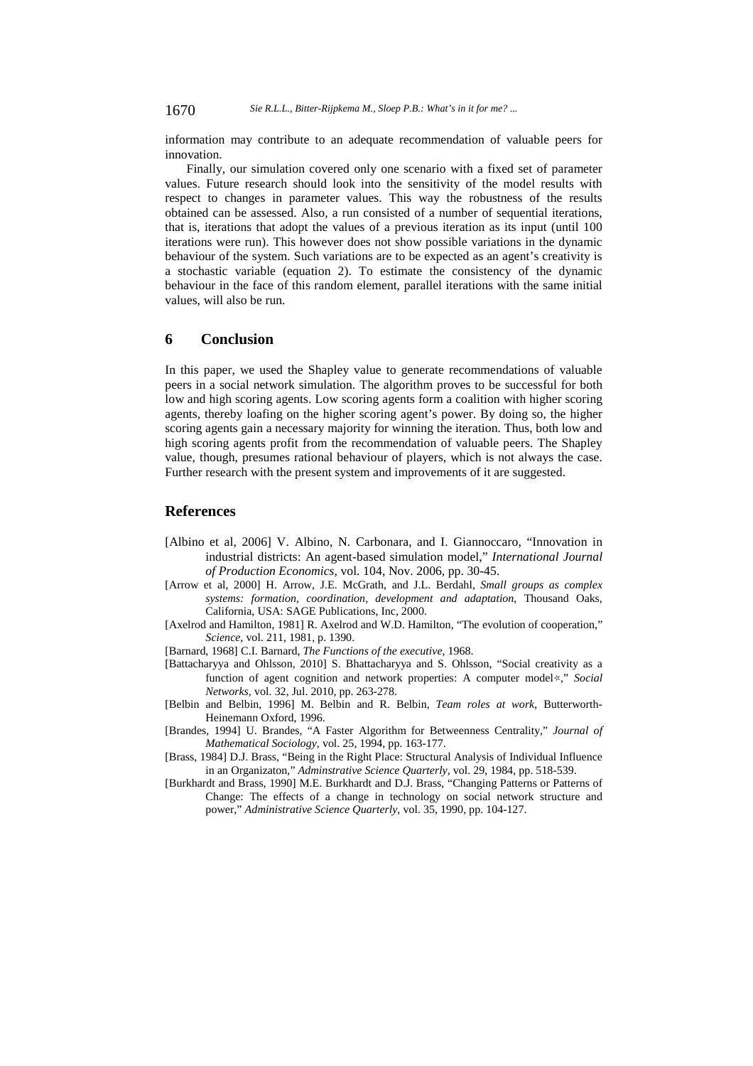information may contribute to an adequate recommendation of valuable peers for innovation.

Finally, our simulation covered only one scenario with a fixed set of parameter values. Future research should look into the sensitivity of the model results with respect to changes in parameter values. This way the robustness of the results obtained can be assessed. Also, a run consisted of a number of sequential iterations, that is, iterations that adopt the values of a previous iteration as its input (until 100 iterations were run). This however does not show possible variations in the dynamic behaviour of the system. Such variations are to be expected as an agent's creativity is a stochastic variable (equation 2). To estimate the consistency of the dynamic behaviour in the face of this random element, parallel iterations with the same initial values, will also be run.

# **6 Conclusion**

In this paper, we used the Shapley value to generate recommendations of valuable peers in a social network simulation. The algorithm proves to be successful for both low and high scoring agents. Low scoring agents form a coalition with higher scoring agents, thereby loafing on the higher scoring agent's power. By doing so, the higher scoring agents gain a necessary majority for winning the iteration. Thus, both low and high scoring agents profit from the recommendation of valuable peers. The Shapley value, though, presumes rational behaviour of players, which is not always the case. Further research with the present system and improvements of it are suggested.

# **References**

- [Albino et al, 2006] V. Albino, N. Carbonara, and I. Giannoccaro, "Innovation in industrial districts: An agent-based simulation model," *International Journal of Production Economics*, vol. 104, Nov. 2006, pp. 30-45.
- [Arrow et al, 2000] H. Arrow, J.E. McGrath, and J.L. Berdahl, *Small groups as complex systems: formation, coordination, development and adaptation*, Thousand Oaks, California, USA: SAGE Publications, Inc, 2000.
- [Axelrod and Hamilton, 1981] R. Axelrod and W.D. Hamilton, "The evolution of cooperation," *Science*, vol. 211, 1981, p. 1390.
- [Barnard, 1968] C.I. Barnard, *The Functions of the executive*, 1968.
- [Battacharyya and Ohlsson, 2010] S. Bhattacharyya and S. Ohlsson, "Social creativity as a function of agent cognition and network properties: A computer model☆," *Social Networks*, vol. 32, Jul. 2010, pp. 263-278.
- [Belbin and Belbin, 1996] M. Belbin and R. Belbin, *Team roles at work*, Butterworth-Heinemann Oxford, 1996.
- [Brandes, 1994] U. Brandes, "A Faster Algorithm for Betweenness Centrality," *Journal of Mathematical Sociology*, vol. 25, 1994, pp. 163-177.
- [Brass, 1984] D.J. Brass, "Being in the Right Place: Structural Analysis of Individual Influence in an Organizaton," *Adminstrative Science Quarterly*, vol. 29, 1984, pp. 518-539.
- [Burkhardt and Brass, 1990] M.E. Burkhardt and D.J. Brass, "Changing Patterns or Patterns of Change: The effects of a change in technology on social network structure and power," *Administrative Science Quarterly*, vol. 35, 1990, pp. 104-127.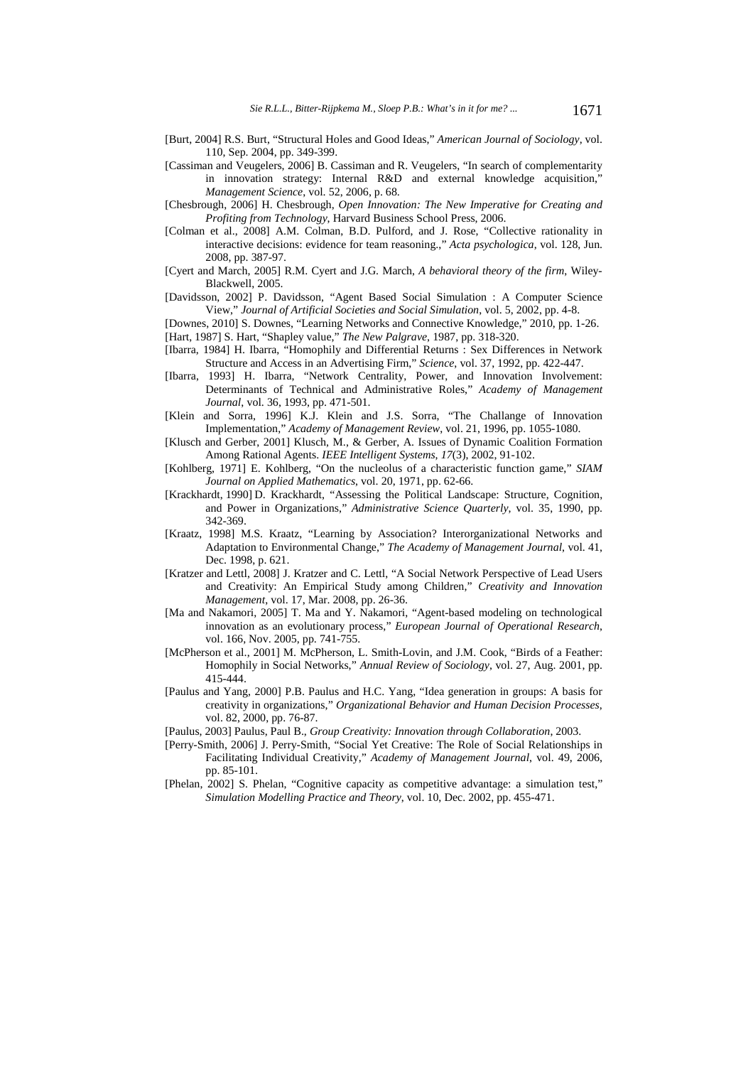- [Burt, 2004] R.S. Burt, "Structural Holes and Good Ideas," *American Journal of Sociology*, vol. 110, Sep. 2004, pp. 349-399.
- [Cassiman and Veugelers, 2006] B. Cassiman and R. Veugelers, "In search of complementarity in innovation strategy: Internal R&D and external knowledge acquisition," *Management Science*, vol. 52, 2006, p. 68.
- [Chesbrough, 2006] H. Chesbrough, *Open Innovation: The New Imperative for Creating and Profiting from Technology*, Harvard Business School Press, 2006.
- [Colman et al., 2008] A.M. Colman, B.D. Pulford, and J. Rose, "Collective rationality in interactive decisions: evidence for team reasoning.," *Acta psychologica*, vol. 128, Jun. 2008, pp. 387-97.
- [Cyert and March, 2005] R.M. Cyert and J.G. March, *A behavioral theory of the firm*, Wiley-Blackwell, 2005.
- [Davidsson, 2002] P. Davidsson, "Agent Based Social Simulation : A Computer Science View," *Journal of Artificial Societies and Social Simulation*, vol. 5, 2002, pp. 4-8.
- [Downes, 2010] S. Downes, "Learning Networks and Connective Knowledge," 2010, pp. 1-26. [Hart, 1987] S. Hart, "Shapley value," *The New Palgrave*, 1987, pp. 318-320.
- [Ibarra, 1984] H. Ibarra, "Homophily and Differential Returns : Sex Differences in Network Structure and Access in an Advertising Firm," *Science*, vol. 37, 1992, pp. 422-447.
- [Ibarra, 1993] H. Ibarra, "Network Centrality, Power, and Innovation Involvement: Determinants of Technical and Administrative Roles," *Academy of Management Journal*, vol. 36, 1993, pp. 471-501.
- [Klein and Sorra, 1996] K.J. Klein and J.S. Sorra, "The Challange of Innovation Implementation," *Academy of Management Review*, vol. 21, 1996, pp. 1055-1080.
- [Klusch and Gerber, 2001] Klusch, M., & Gerber, A. Issues of Dynamic Coalition Formation Among Rational Agents. *IEEE Intelligent Systems*, *17*(3), 2002, 91-102.
- [Kohlberg, 1971] E. Kohlberg, "On the nucleolus of a characteristic function game," *SIAM Journal on Applied Mathematics*, vol. 20, 1971, pp. 62-66.
- [Krackhardt, 1990] D. Krackhardt, "Assessing the Political Landscape: Structure, Cognition, and Power in Organizations," *Administrative Science Quarterly*, vol. 35, 1990, pp. 342-369.
- [Kraatz, 1998] M.S. Kraatz, "Learning by Association? Interorganizational Networks and Adaptation to Environmental Change," *The Academy of Management Journal*, vol. 41, Dec. 1998, p. 621.
- [Kratzer and Lettl, 2008] J. Kratzer and C. Lettl, "A Social Network Perspective of Lead Users and Creativity: An Empirical Study among Children," *Creativity and Innovation Management*, vol. 17, Mar. 2008, pp. 26-36.
- [Ma and Nakamori, 2005] T. Ma and Y. Nakamori, "Agent-based modeling on technological innovation as an evolutionary process," *European Journal of Operational Research*, vol. 166, Nov. 2005, pp. 741-755.
- [McPherson et al., 2001] M. McPherson, L. Smith-Lovin, and J.M. Cook, "Birds of a Feather: Homophily in Social Networks," *Annual Review of Sociology*, vol. 27, Aug. 2001, pp. 415-444.
- [Paulus and Yang, 2000] P.B. Paulus and H.C. Yang, "Idea generation in groups: A basis for creativity in organizations," *Organizational Behavior and Human Decision Processes*, vol. 82, 2000, pp. 76-87.
- [Paulus, 2003] Paulus, Paul B., *Group Creativity: Innovation through Collaboration*, 2003.
- [Perry-Smith, 2006] J. Perry-Smith, "Social Yet Creative: The Role of Social Relationships in Facilitating Individual Creativity," *Academy of Management Journal*, vol. 49, 2006, pp. 85-101.
- [Phelan, 2002] S. Phelan, "Cognitive capacity as competitive advantage: a simulation test," *Simulation Modelling Practice and Theory*, vol. 10, Dec. 2002, pp. 455-471.